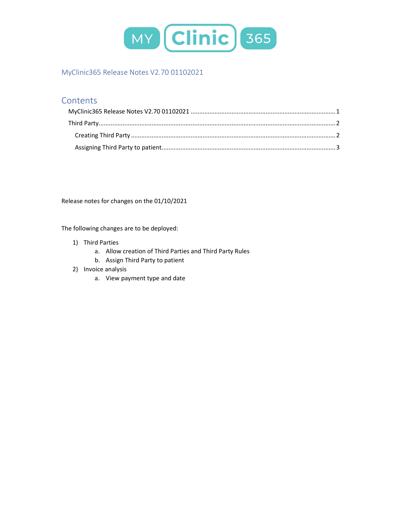

# MyClinic365 Release Notes V2.70 01102021

## Contents

Release notes for changes on the 01/10/2021

The following changes are to be deployed:

- 1) Third Parties
	- a. Allow creation of Third Parties and Third Party Rules
	- b. Assign Third Party to patient
- 2) Invoice analysis
	- a. View payment type and date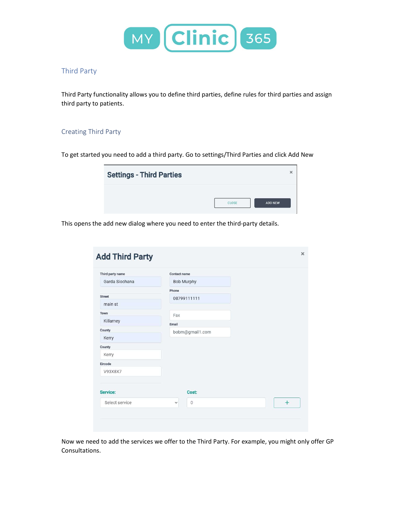

#### Third Party

Third Party functionality allows you to define third parties, define rules for third parties and assign third party to patients.

#### Creating Third Party

To get started you need to add a third party. Go to settings/Third Parties and click Add New

| <b>Settings - Third Parties</b> | ×                       |
|---------------------------------|-------------------------|
|                                 | <b>ADD NEW</b><br>CLOSE |

This opens the add new dialog where you need to enter the third-party details.

| Third party name | Contact name                   |     |
|------------------|--------------------------------|-----|
| Garda Siochana   | Bob Murphy                     |     |
|                  | Phone                          |     |
| <b>Street</b>    | 08799111111                    |     |
| main st          |                                |     |
| Town             | Fax                            |     |
| Killarney        | Email                          |     |
| County           | bobm@gmail1.com                |     |
| Kerry            |                                |     |
| County           |                                |     |
| Kerry            |                                |     |
| Eircode          |                                |     |
| V93X8X7          |                                |     |
|                  |                                |     |
| Service:         | Cost:                          |     |
| Select service   | $\overline{0}$<br>$\checkmark$ | $+$ |

Now we need to add the services we offer to the Third Party. For example, you might only offer GP Consultations.